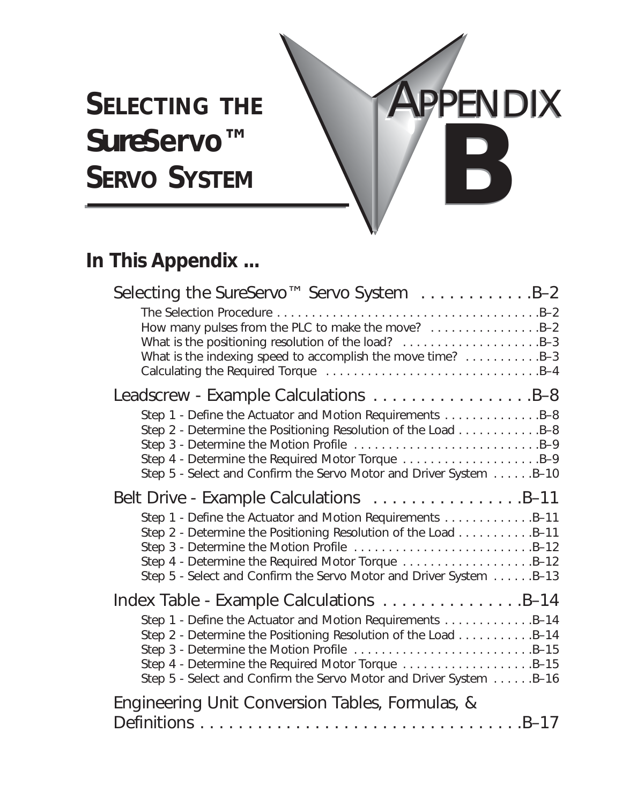# SELECTING THE **APPENDIX** *Sure***Servo™ SERVO SYSTEM**

# **In This Appendix ...**

| Selecting the SureServo™ Servo System B-2                                                                                                                                                                                                              |
|--------------------------------------------------------------------------------------------------------------------------------------------------------------------------------------------------------------------------------------------------------|
| How many pulses from the PLC to make the move? B-2<br>What is the positioning resolution of the load? B-3<br>What is the indexing speed to accomplish the move time? B-3                                                                               |
|                                                                                                                                                                                                                                                        |
| Step 1 - Define the Actuator and Motion Requirements B-8<br>Step 2 - Determine the Positioning Resolution of the Load B-8<br>Step 4 - Determine the Required Motor Torque B-9<br>Step 5 - Select and Confirm the Servo Motor and Driver System B-10    |
| Belt Drive - Example Calculations B-11                                                                                                                                                                                                                 |
| Step 1 - Define the Actuator and Motion Requirements B-11<br>Step 2 - Determine the Positioning Resolution of the Load B-11<br>Step 4 - Determine the Required Motor Torque B-12<br>Step 5 - Select and Confirm the Servo Motor and Driver System B-13 |
|                                                                                                                                                                                                                                                        |
| Step 1 - Define the Actuator and Motion Requirements B-14<br>Step 2 - Determine the Positioning Resolution of the Load B-14<br>Step 4 - Determine the Required Motor Torque B-15<br>Step 5 - Select and Confirm the Servo Motor and Driver System B-16 |
| Engineering Unit Conversion Tables, Formulas, &                                                                                                                                                                                                        |
|                                                                                                                                                                                                                                                        |

**B**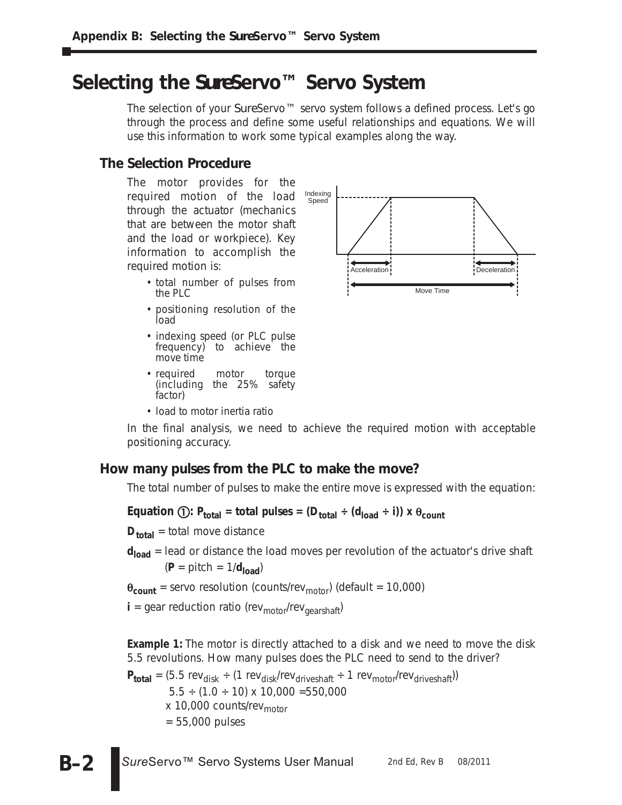# **Selecting the** *Sure***Servo™ Servo System**

The selection of your *Sure*Servo™ servo system follows a defined process. Let's go through the process and define some useful relationships and equations. We will use this information to work some typical examples along the way.

### **The Selection Procedure**

The motor provides for the required motion of the load through the actuator (mechanics that are between the motor shaft and the load or workpiece). Key information to accomplish the required motion is:

- total number of pulses from the PLC
- positioning resolution of the load
- indexing speed (or PLC pulse frequency) to achieve the move time
- required motor torque (including the 25% safety factor)
- load to motor inertia ratio



In the final analysis, we need to achieve the required motion with acceptable positioning accuracy.

### **How many pulses from the PLC to make the move?**

The total number of pulses to make the entire move is expressed with the equation:

 $\textsf{Equation (I): } \mathsf{P}_{\textsf{total}} = \textsf{total pulses} = (\mathsf{D}_{\textsf{total}} \div (\mathsf{d}_{\textsf{load}} \div \mathsf{i})) \times \mathsf{\theta}_{\textsf{count}}$ 

**D**<sub>total</sub> = total move distance

**d<sub>load</sub>** = lead or distance the load moves per revolution of the actuator's drive shaft  $(P = pitch = 1/d_{load})$ 

 $\theta_{\text{count}}$  = servo resolution (counts/rev<sub>motor</sub>) (default = 10,000)

 $\mathbf{i}$  = gear reduction ratio (rev<sub>motor</sub>/rev<sub>gearshaft</sub>)

**Example 1:** The motor is directly attached to a disk and we need to move the disk 5.5 revolutions. How many pulses does the PLC need to send to the driver?

 $P_{total} = (5.5 \text{ rev}_{disk} \div (1 \text{ rev}_{disk}/\text{rev}_{driveshaff} \div 1 \text{ rev}_{motor}/\text{rev}_{driveshaff}))$  $5.5 \div (1.0 \div 10) \times 10,000 = 550,000$  $x$  10,000 counts/rev<sub>motor</sub> = 55,000 pulses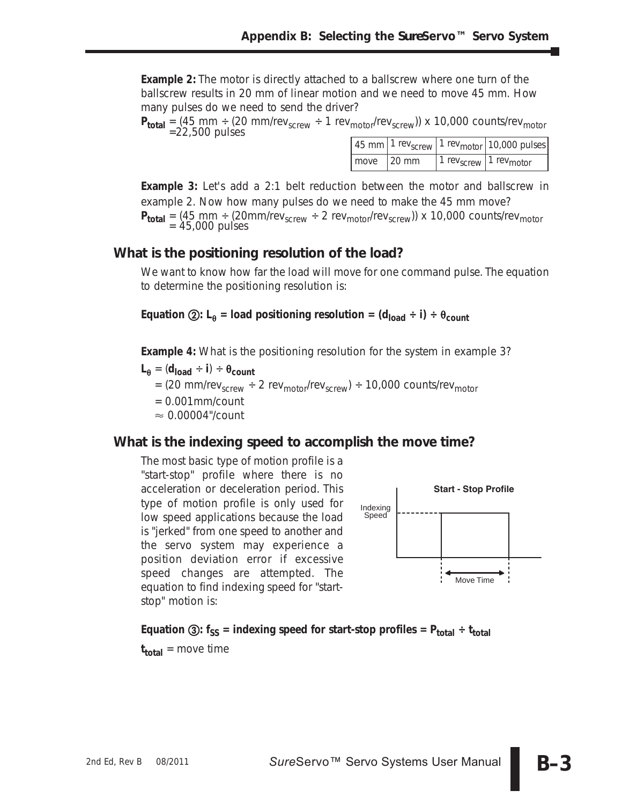**Example 2:** The motor is directly attached to a ballscrew where one turn of the ballscrew results in 20 mm of linear motion and we need to move 45 mm. How many pulses do we need to send the driver?

 $P_{total} = (45 \text{ mm} \div (20 \text{ mm/rev}_{\text{screen}} \div 1 \text{ rev}_{\text{motor}}/rev_{\text{screen}})) \times 10,000 \text{ counts/rev}_{\text{motor}}$ 

|                            | $\mid$ 45 mm $\mid$ 1 rev <sub>screw</sub> $\mid$ 1 rev <sub>motor</sub> $\mid$ 10,000 pulses $\mid$ |
|----------------------------|------------------------------------------------------------------------------------------------------|
| $\vert$ move $\vert$ 20 mm | 1 rev <sub>screw</sub>   1 rev <sub>motor</sub>                                                      |

**Example 3:** Let's add a 2:1 belt reduction between the motor and ballscrew in example 2. Now how many pulses do we need to make the 45 mm move? **P<sub>total</sub>** = (45 mm ÷ (20mm/rev<sub>screw</sub> ÷ 2 rev<sub>motor</sub>/rev<sub>screw</sub>)) x 10,000 counts/rev<sub>motor</sub>  $=$  45,000 pulses

### **What is the positioning resolution of the load?**

We want to know how far the load will move for one command pulse. The equation to determine the positioning resolution is:

**Equation ②:** L<sub> $_{\theta}$ </sub> = load positioning resolution = (d<sub>load</sub> ÷ i) ÷  $_{\theta_{\text{count}}}$ 

**Example 4:** What is the positioning resolution for the system in example 3?

- $L_{\theta} = (d_{load} \div i) \div \theta_{count}$ 
	- $=$  (20 mm/rev<sub>screw</sub>  $\div$  2 rev<sub>motor</sub>/rev<sub>screw</sub>)  $\div$  10,000 counts/rev<sub>motor</sub>
	- $= 0.001$ mm/count
	- $\approx 0.00004$ "/count

### **What is the indexing speed to accomplish the move time?**

The most basic type of motion profile is a "start-stop" profile where there is no acceleration or deceleration period. This type of motion profile is only used for low speed applications because the load is "jerked" from one speed to another and the servo system may experience a position deviation error if excessive speed changes are attempted. The equation to find indexing speed for "startstop" motion is:



**Equation ③:**  $f_{SS}$  = indexing speed for start-stop profiles =  $P_{total} \div t_{total}$ 

 $t_{total}$  = move time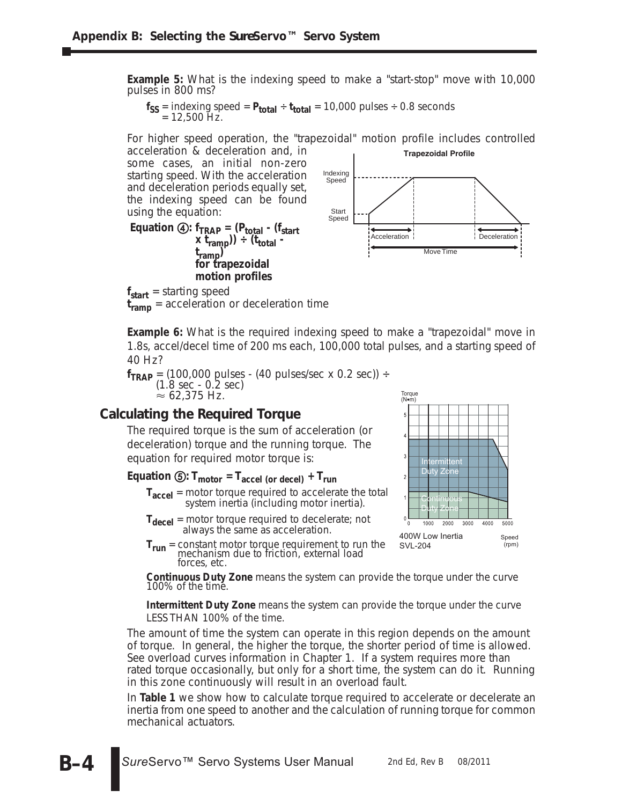**Example 5:** What is the indexing speed to make a "start-stop" move with 10,000 pulses in 800 ms?

 $f_{SS}$  = indexing speed =  $P_{total}$  ÷  $t_{total}$  = 10,000 pulses ÷ 0.8 seconds  $= 12,500$  Hz.

For higher speed operation, the "trapezoidal" motion profile includes controlled acceleration & deceleration and, in

some cases, an initial non-zero starting speed. With the acceleration and deceleration periods equally set, the indexing speed can be found using the equation:

**Equation 4:**  $f_{TRAP} = (P_{total} - (f_{start}$  $(x t_{ramp})$ )  $\div$  ( $t_{total}$  **tramp) for trapezoidal motion profiles**



Torque (N•m)

**f<sub>start</sub>** = starting speed

**tramp** = acceleration or deceleration time

**Example 6:** What is the required indexing speed to make a "trapezoidal" move in 1.8s, accel/decel time of 200 ms each, 100,000 total pulses, and a starting speed of 40 Hz?

 $f_{TRAP} = (100,000 \text{ pulses} - (40 \text{ pulses/sec x 0.2 sec})) +$ (1.8 sec - 0.2 sec)  $\approx 62,375$  Hz.

### **Calculating the Required Torque**

The required torque is the sum of acceleration (or deceleration) torque and the running torque. The equation for required motor torque is:

### **Equation**  $\textcircled{5}$ **:**  $\text{T}_{\text{motor}} = \text{T}_{\text{accel (or decel)}} + \text{T}_{\text{run}}$

- **Taccel** = motor torque required to accelerate the total system inertia (including motor inertia).
- T<sub>decel</sub> = motor torque required to decelerate; not always the same as acceleration.
- **Trun** = constant motor torque requirement to run the mechanism due to friction, external load forces, etc.

**Intermittent** Duty Zone Continuous Duty Zone1000 2000 3000 4000 5000 400W Low Inertia Speed (rpm) SVL-204

**Continuous Duty Zone** means the system can provide the torque under the curve 100% of the time.

**Intermittent Duty Zone** means the system can provide the torque under the curve LESS THAN 100% of the time.

The amount of time the system can operate in this region depends on the amount of torque. In general, the higher the torque, the shorter period of time is allowed. See overload curves information in Chapter 1. If a system requires more than rated torque occasionally, but only for a short time, the system can do it. Running in this zone continuously will result in an overload fault.

In **Table 1** we show how to calculate torque required to accelerate or decelerate an inertia from one speed to another and the calculation of running torque for common mechanical actuators.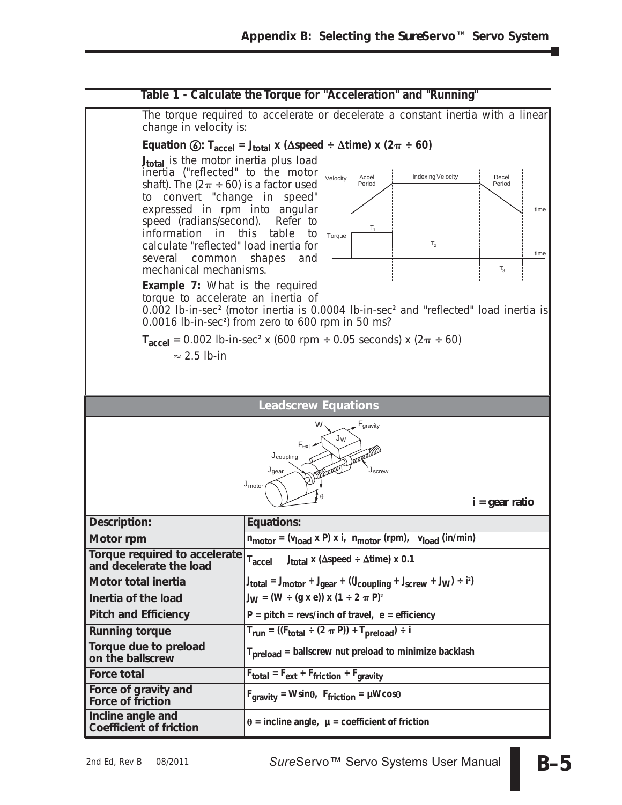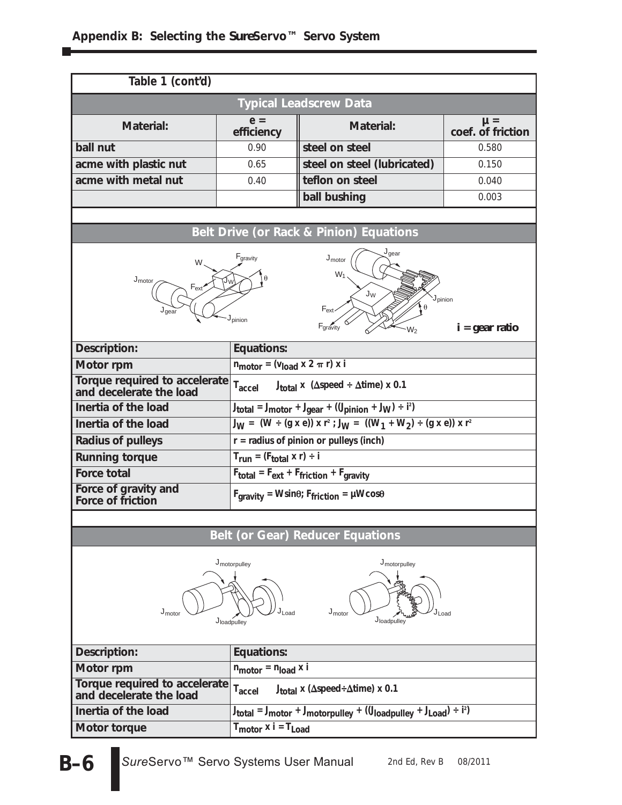### **Appendix B: Selecting the** *Sure***Servo™ Servo System**

| Table 1 (cont'd)                                                                                                                                                         |                                                                |                                                                                                 |                                         |  |
|--------------------------------------------------------------------------------------------------------------------------------------------------------------------------|----------------------------------------------------------------|-------------------------------------------------------------------------------------------------|-----------------------------------------|--|
| <b>Typical Leadscrew Data</b>                                                                                                                                            |                                                                |                                                                                                 |                                         |  |
| <b>Material:</b>                                                                                                                                                         | $e =$<br>efficiency                                            | <b>Material:</b>                                                                                | $\mu =$<br>coef. of friction            |  |
| ball nut                                                                                                                                                                 | 0.90                                                           | steel on steel                                                                                  | 0.580                                   |  |
| acme with plastic nut                                                                                                                                                    | 0.65                                                           | steel on steel (lubricated)                                                                     | 0.150                                   |  |
| acme with metal nut                                                                                                                                                      | 0.40                                                           | teflon on steel                                                                                 | 0.040                                   |  |
|                                                                                                                                                                          |                                                                | ball bushing                                                                                    | 0.003                                   |  |
|                                                                                                                                                                          |                                                                |                                                                                                 |                                         |  |
|                                                                                                                                                                          |                                                                | Belt Drive (or Rack & Pinion) Equations                                                         |                                         |  |
| W<br>$J_{motor}$<br>$F_{ext}$<br>J <sub>qear</sub>                                                                                                                       | $F_{gravity}$<br>J <sub>pinion</sub>                           | $J_{\text{qear}}$<br>$J_{motor}$<br>$W_1$<br>$J_{W}$<br>$F_{ext}$<br>Fgravity<br>W <sub>2</sub> | J <sub>pinion</sub><br>$i = gear$ ratio |  |
| Description:                                                                                                                                                             | <b>Equations:</b>                                              |                                                                                                 |                                         |  |
| Motor rpm                                                                                                                                                                | $n_{\text{motor}} = (v_{\text{load}} \times 2 \pi r) \times i$ |                                                                                                 |                                         |  |
| Torque required to accelerate<br>and decelerate the load                                                                                                                 |                                                                | $T_{\text{accel}}$ J <sub>total</sub> x ( $\Delta$ speed ÷ $\Delta$ time) x 0.1                 |                                         |  |
| Inertia of the load<br>$J_{total} = J_{motor} + J_{gear} + ((J_{pinion} + J_W) \div i^2)$                                                                                |                                                                |                                                                                                 |                                         |  |
| $J_W = (W \div (g \times e)) \times r^2$ ; $J_W = ((W_1 + W_2) \div (g \times e)) \times r^2$<br>Inertia of the load                                                     |                                                                |                                                                                                 |                                         |  |
| <b>Radius of pulleys</b>                                                                                                                                                 |                                                                | $r =$ radius of pinion or pulleys (inch)                                                        |                                         |  |
| <b>Running torque</b>                                                                                                                                                    | $T_{run} = (F_{total} \times r) \div i$                        |                                                                                                 |                                         |  |
| <b>Force total</b>                                                                                                                                                       |                                                                | $F_{total} = F_{ext} + F_{friction} + F_{gravity}$                                              |                                         |  |
| Force of gravity and<br>Force of friction                                                                                                                                |                                                                | $F_{gravity} = Wsin\theta$ ; $F_{friction} = \mu Wcos\theta$                                    |                                         |  |
|                                                                                                                                                                          |                                                                |                                                                                                 |                                         |  |
|                                                                                                                                                                          |                                                                | <b>Belt (or Gear) Reducer Equations</b>                                                         |                                         |  |
| J <sub>motorpulley</sub><br>J <sub>motorpulley</sub><br>J <sub>Load</sub><br>$J_{\text{motor}}$<br>$J_{\text{motor}}$<br>J <sub>Load</sub><br>Jloadpulley<br>Jloadpulley |                                                                |                                                                                                 |                                         |  |
| Description:                                                                                                                                                             | <b>Equations:</b>                                              |                                                                                                 |                                         |  |
| Motor rpm                                                                                                                                                                | $n_{\text{motor}} = n_{\text{load}}$ x i                       |                                                                                                 |                                         |  |
| Torque required to accelerate<br>and decelerate the load                                                                                                                 | $T_{\text{accel}}$                                             | $J_{total}$ x ( $\Delta$ speed÷ $\Delta$ time) x 0.1                                            |                                         |  |
| Inertia of the load<br>$J_{total} = J_{motor} + J_{motor}$ ( $(J_{loadpulse} + J_{Load}) \div i^2$ )                                                                     |                                                                |                                                                                                 |                                         |  |
| Motor torque                                                                                                                                                             | $T_{\text{motor}}$ x i = $T_{\text{Load}}$                     |                                                                                                 |                                         |  |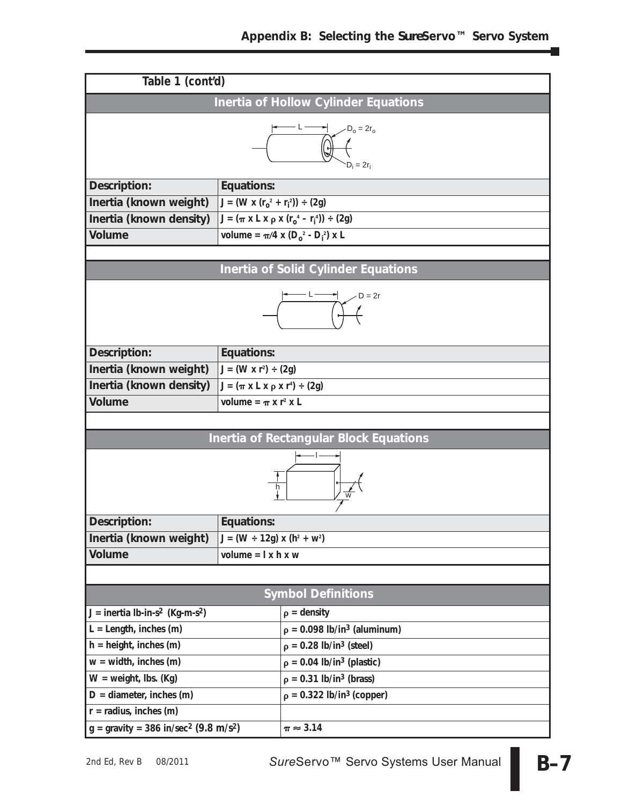|                                                                 | Table 1 (cont'd)                           |                                                                                       |  |  |
|-----------------------------------------------------------------|--------------------------------------------|---------------------------------------------------------------------------------------|--|--|
|                                                                 |                                            | Inertia of Hollow Cylinder Equations                                                  |  |  |
| $-D_0 = 2r_0$<br>$D_i = 2r_i$                                   |                                            |                                                                                       |  |  |
| Description:                                                    | <b>Equations:</b>                          |                                                                                       |  |  |
| Inertia (known weight)                                          | $J = (W \times (r_0^2 + r_1^2)) \div (2g)$ |                                                                                       |  |  |
| Inertia (known density)                                         |                                            | J = (π x L x ρ x (r <sub>o</sub> <sup>4</sup> – r <sub>i</sub> <sup>4</sup> )) ÷ (2g) |  |  |
| <b>Volume</b>                                                   |                                            | volume = $\pi/4$ x (D <sub>o</sub> <sup>2</sup> - D <sub>i</sub> <sup>2</sup> ) x L   |  |  |
|                                                                 |                                            |                                                                                       |  |  |
|                                                                 |                                            | Inertia of Solid Cylinder Equations                                                   |  |  |
|                                                                 | $D = 2r$                                   |                                                                                       |  |  |
| Description:                                                    | Equations:                                 |                                                                                       |  |  |
| Inertia (known weight)                                          | $J = (W \times r^2) \div (2g)$             |                                                                                       |  |  |
| Inertia (known density)                                         | $J = (\pi x L x ρ x r4) \div (2g)$         |                                                                                       |  |  |
| <b>Volume</b>                                                   | volume = $\pi$ x r <sup>2</sup> x L        |                                                                                       |  |  |
|                                                                 |                                            |                                                                                       |  |  |
|                                                                 |                                            | <b>Inertia of Rectangular Block Equations</b>                                         |  |  |
|                                                                 |                                            |                                                                                       |  |  |
| Description:                                                    | Equations:                                 |                                                                                       |  |  |
| Inertia (known weight)                                          | $J = (W \div 12g) \times (h^2 + w^2)$      |                                                                                       |  |  |
| Volume                                                          | volume = $l x h x w$                       |                                                                                       |  |  |
|                                                                 |                                            |                                                                                       |  |  |
|                                                                 |                                            | <b>Symbol Definitions</b>                                                             |  |  |
| $J =$ inertia lb-in-s <sup>2</sup> (Kg-m-s <sup>2</sup> )       |                                            | $\rho =$ density                                                                      |  |  |
| $L =$ Length, inches (m)                                        |                                            | $\rho = 0.098$ lb/in <sup>3</sup> (aluminum)                                          |  |  |
| $h = height$ , inches (m)                                       |                                            | $p = 0.28$ lb/in <sup>3</sup> (steel)                                                 |  |  |
| $w = width$ , inches $(m)$                                      |                                            | $p = 0.04$ lb/in <sup>3</sup> (plastic)                                               |  |  |
| $W = weight$ , Ibs. (Kg)                                        |                                            | $p = 0.31$ lb/in <sup>3</sup> (brass)                                                 |  |  |
| $D =$ diameter, inches (m)                                      |                                            | $p = 0.322$ lb/in <sup>3</sup> (copper)                                               |  |  |
| $r =$ radius, inches (m)                                        |                                            |                                                                                       |  |  |
| $g =$ gravity = 386 in/sec <sup>2</sup> (9.8 m/s <sup>2</sup> ) |                                            | $\pi \approx 3.14$                                                                    |  |  |

Ξ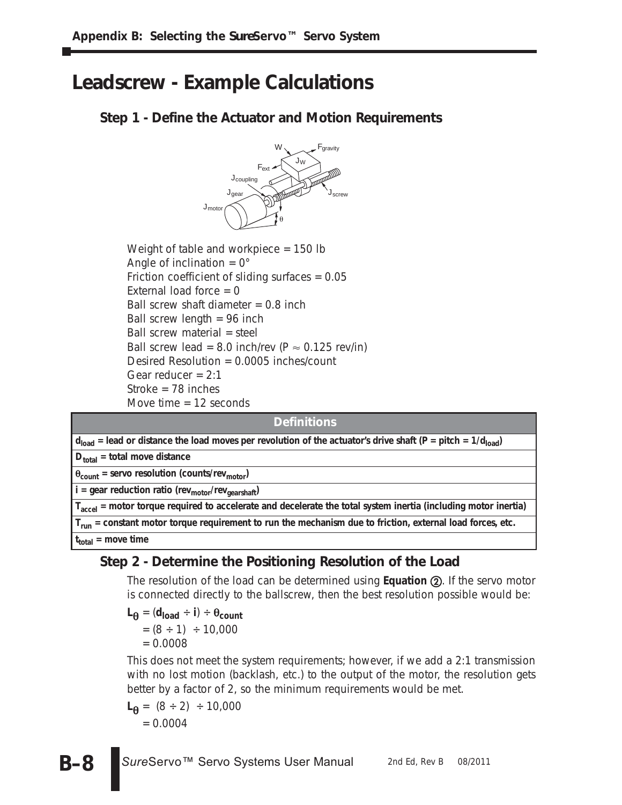# **Leadscrew - Example Calculations**

### **Step 1 - Define the Actuator and Motion Requirements**



Weight of table and workpiece = 150 lb Angle of inclination  $= 0^\circ$ Friction coefficient of sliding surfaces = 0.05 External load force  $= 0$ Ball screw shaft diameter  $= 0.8$  inch Ball screw length  $= 96$  inch Ball screw material = steel Ball screw lead = 8.0 inch/rev (P  $\approx$  0.125 rev/in) Desired Resolution = 0.0005 inches/count Gear reducer  $= 2:1$ Stroke = 78 inches Move time = 12 seconds

#### **Definitions**

 $d_{load}$  = lead or distance the load moves per revolution of the actuator's drive shaft (P = pitch =  $1/d_{load}$ )

**Dtotal = total move distance**

 $\theta_{\text{count}}$  = servo resolution (counts/rev<sub>motor</sub>)

**i** = gear reduction ratio (rev<sub>motor</sub>/rev<sub>gearshaft</sub>)

**Taccel = motor torque required to accelerate and decelerate the total system inertia (including motor inertia)**

**Trun = constant motor torque requirement to run the mechanism due to friction, external load forces, etc.**

**ttotal = move time**

### **Step 2 - Determine the Positioning Resolution of the Load**

The resolution of the load can be determined using **Equation (2)**. If the servo motor is connected directly to the ballscrew, then the best resolution possible would be:

 $L_{\theta} = (d_{load} \div i) \div \theta_{count}$  $=(8 \div 1) \div 10,000$  $= 0.0008$ 

This does not meet the system requirements; however, if we add a 2:1 transmission with no lost motion (backlash, etc.) to the output of the motor, the resolution gets better by a factor of 2, so the minimum requirements would be met.

$$
\mathsf{L}_{\theta} = (8 \div 2) \div 10,000
$$
  
= 0.0004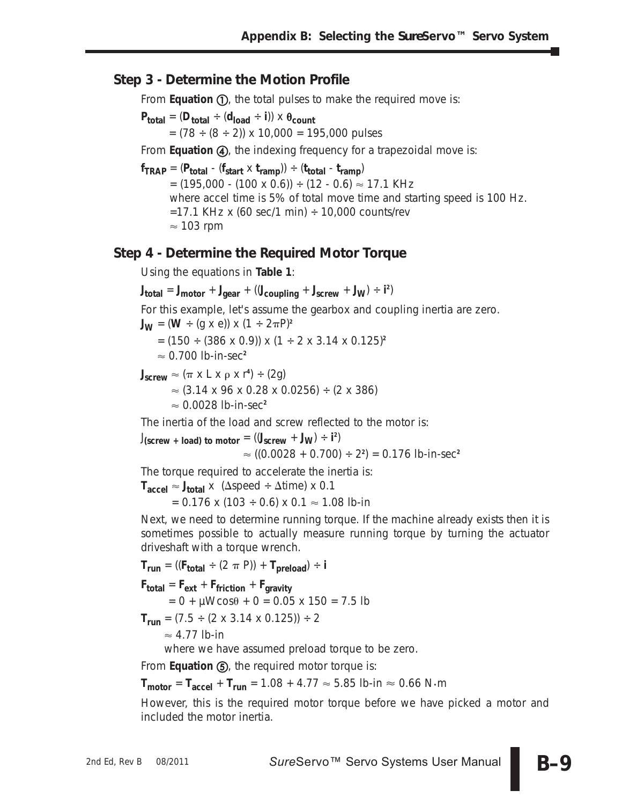### **Step 3 - Determine the Motion Profile**

From Equation (D, the total pulses to make the required move is:

 $P_{total} = (D_{total} \div (d_{load} \div i)) \times \theta_{count}$  $= (78 \div (8 \div 2)) \times 10,000 = 195,000 \text{ pulses}$ 

From **Equation 4**, the indexing frequency for a trapezoidal move is:

 $f_{TRAP} = (P_{total} - (f_{start} \times t_{ramp})) \div (t_{total} - t_{ramp})$  $= (195,000$  -  $(100 \times 0.6)) \div (12$  - 0.6)  $\approx 17.1$  KHz where accel time is 5% of total move time and starting speed is 100 Hz.  $=$  17.1 KHz x (60 sec/1 min)  $\div$  10,000 counts/rev  $\approx$  103 rpm

#### **Step 4 - Determine the Required Motor Torque**

Using the equations in **Table 1**:

$$
J_{total} = J_{motor} + J_{gear} + ((J_{coupling} + J_{screw} + J_W) \div i^2)
$$

For this example, let's assume the gearbox and coupling inertia are zero.  $J_{\mathbf{W}} = (\mathbf{W} \div (g \times e)) \times (1 \div 2\pi P)^2$ 

= (150 ÷ (386 x 0.9)) x (1 ÷ 2 x 3.14 x 0.125)**<sup>2</sup>**

- 0.700 lb-in-sec**<sup>2</sup>**

 $J_{\text{screen}} \approx (\pi \times L \times \rho \times r^4) \div (2g)$  $\approx$  (3.14 x 96 x 0.28 x 0.0256) ÷ (2 x 386) - 0.0028 lb-in-sec**<sup>2</sup>**

The inertia of the load and screw reflected to the motor is:

 $J$ (screw + load) to motor =  $((J_{\text{screen}} + J_{\text{W}}) \div i^2)$ - ((0.0028 + 0.700) ÷ 2**<sup>2</sup>** ) = 0.176 lb-in-sec**<sup>2</sup>**

The torque required to accelerate the inertia is:

 $\mathsf{T}_{\text{accel}} \approx \mathsf{J}_{\text{total}} \times \text{ (Aspeed}\div\Delta \text{time)} \times 0.1$ 

 $= 0.176$  x (103  $\div$  0.6) x 0.1  $\approx$  1.08 lb-in

Next, we need to determine running torque. If the machine already exists then it is sometimes possible to actually measure running torque by turning the actuator driveshaft with a torque wrench.

 $T_{run}$  = (( $F_{total} \div (2 \pi P)$ ) +  $T_{preload}$ ) ÷ **i Ftotal** = **Fext** + **Ffriction** + **Fgravity**  $= 0 + \mu W cos \theta + 0 = 0.05 \times 150 = 7.5$ lb

 $T_{run} = (7.5 \div (2 \times 3.14 \times 0.125)) \div 2$ 

 $\approx$  4.77 lb-in

where we have assumed preload torque to be zero.

From **Equation (5)**, the required motor torque is:

 $T_{\text{motor}} = T_{\text{accel}} + T_{\text{run}} = 1.08 + 4.77 \approx 5.85 \text{ lb-in} \approx 0.66 \text{ N}\cdot\text{m}$ 

However, this is the required motor torque before we have picked a motor and included the motor inertia.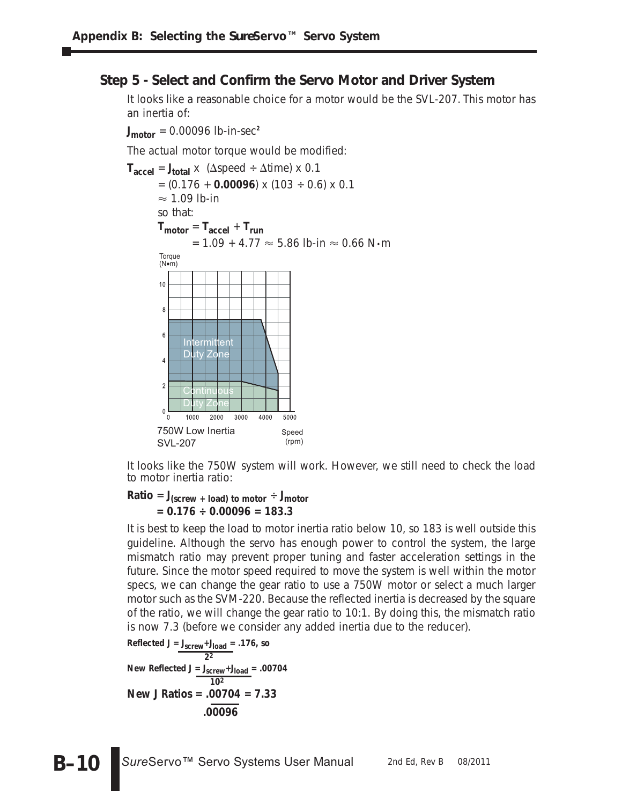### **Step 5 - Select and Confirm the Servo Motor and Driver System**

It looks like a reasonable choice for a motor would be the SVL-207. This motor has an inertia of:

 $J_{\text{motor}} = 0.00096$  lb-in-sec<sup>2</sup>

The actual motor torque would be modified:



It looks like the 750W system will work. However, we still need to check the load to motor inertia ratio:

**Ratio** =  $J_{\text{(screw + load)}}$  to motor  $\div J_{\text{motor}}$ **= 0.176 ÷ 0.00096 = 183.3**

It is best to keep the load to motor inertia ratio below 10, so 183 is well outside this guideline. Although the servo has enough power to control the system, the large mismatch ratio may prevent proper tuning and faster acceleration settings in the future. Since the motor speed required to move the system is well within the motor specs, we can change the gear ratio to use a 750W motor or select a much larger motor such as the SVM-220. Because the reflected inertia is decreased by the square of the ratio, we will change the gear ratio to 10:1. By doing this, the mismatch ratio is now 7.3 (before we consider any added inertia due to the reducer).

Reflected J = 
$$
\frac{J_{\text{screw}}+J_{\text{load}}}{2^2}
$$
 .176, so  
\nNew Reflected J =  $\frac{J_{\text{screw}}+J_{\text{load}}}{10^2}$  = .00704  
\nNew J Ratios = .00704 = 7.33  
\n.00096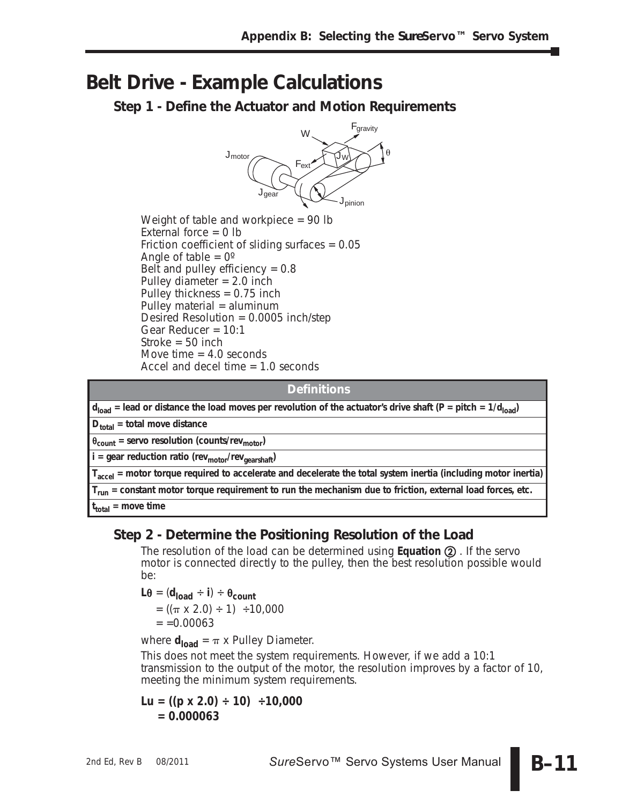## **Belt Drive - Example Calculations**

**Step 1 - Define the Actuator and Motion Requirements**



Weight of table and workpiece  $= 90$  lb External force  $= 0$  lb Friction coefficient of sliding surfaces = 0.05 Angle of table  $= 0^\circ$ Belt and pulley efficiency  $= 0.8$ Pulley diameter  $= 2.0$  inch Pulley thickness  $= 0.75$  inch Pulley material = aluminum Desired Resolution = 0.0005 inch/step Gear Reducer = 10:1 Stroke  $=$  50 inch Move time  $= 4.0$  seconds Accel and decel time = 1.0 seconds

#### **Definitions**

 $d_{load}$  = lead or distance the load moves per revolution of the actuator's drive shaft (P = pitch = 1/d<sub>load</sub>)

**Dtotal = total move distance**

-**count = servo resolution (counts/revmotor)**

**i** = gear reduction ratio (rev<sub>motor</sub>/rev<sub>gearshaft</sub>)

**Taccel = motor torque required to accelerate and decelerate the total system inertia (including motor inertia)**

**Trun = constant motor torque requirement to run the mechanism due to friction, external load forces, etc.**

**ttotal = move time**

### **Step 2 - Determine the Positioning Resolution of the Load**

The resolution of the load can be determined using **Equation 2**. If the servo motor is connected directly to the pulley, then the best resolution possible would be:

 $L\theta = (d_{load} \div i) \div \theta_{count}$  $= ((\pi \times 2.0) \div 1) \div 10,000$  $= 0.00063$ 

where  $d_{load} = \pi \times$  Pulley Diameter.

This does not meet the system requirements. However, if we add a 10:1 transmission to the output of the motor, the resolution improves by a factor of 10, meeting the minimum system requirements.

$$
Lu = ((p \times 2.0) \div 10) \div 10,000
$$
  
= 0.000063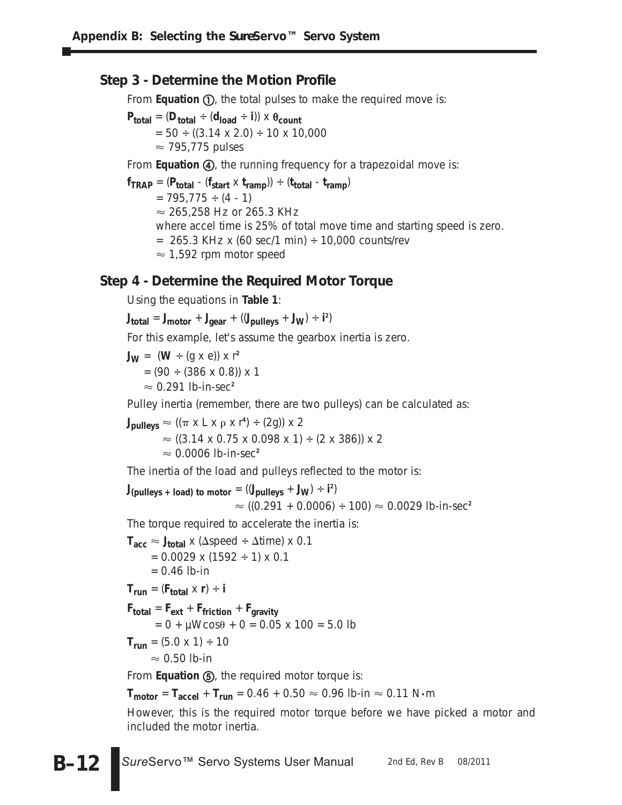### **Step 3 - Determine the Motion Profile**

From Equation (1), the total pulses to make the required move is:

 $P_{total} = (D_{total} \div (d_{load} \div i)) \times \theta_{count}$  $= 50 \div ((3.14 \times 2.0) \div 10 \times 10,000$  $\approx$  795,775 pulses

From **Equation (4)**, the running frequency for a trapezoidal move is:

 $f_{TRAP} = (P_{total} - (f_{start} \times t_{ramp})) \div (t_{total} - t_{ramp})$  $= 795,775 \div (4 - 1)$  $\approx$  265,258 Hz or 265.3 KHz where accel time is 25% of total move time and starting speed is zero.  $= 265.3$  KHz x (60 sec/1 min)  $\div$  10,000 counts/rev  $\approx$  1,592 rpm motor speed

### **Step 4 - Determine the Required Motor Torque**

Using the equations in **Table 1**:

 $J_{total} = J_{motor} + J_{gear} + ((J_{pulleys} + J_W) \div i^2)$ 

For this example, let's assume the gearbox inertia is zero.

 $J_{\text{W}} = (\text{W} \div (g \times e)) \times r^2$ 

 $= (90 \div (386 \times 0.8)) \times 1$ 

 $\approx$  0.291 lb-in-sec<sup>2</sup>

Pulley inertia (remember, there are two pulleys) can be calculated as:

 $\mathsf{J_{pulleys}} \approx ((\pi \times \mathsf{L} \times \rho \times \mathsf{r}^4) \div (2\mathsf{g})) \times 2$  $\approx$  ((3.14 x 0.75 x 0.098 x 1) ÷ (2 x 386)) x 2  $\approx$  0.0006 lb-in-sec<sup>2</sup>

The inertia of the load and pulleys reflected to the motor is:

 $J_{\text{(pulleys + load) to motor}} = ((J_{\text{pulleys}} + J_{\text{W}}) \div i^2)$ ≈ ((0.291 + 0.0006) ÷ 100) ≈ 0.0029 lb-in-sec<sup>2</sup>

The torque required to accelerate the inertia is:

 $T_{\text{acc}} \approx J_{\text{total}} \times (\Delta \text{speed} \div \Delta \text{time}) \times 0.1$  $= 0.0029$  x (1592  $\div$  1) x 0.1  $= 0.46$  lb-in  $T_{\text{run}} = (F_{\text{total}} \times r) \div i$ **Ftotal** = **Fext** + **Ffriction** + **Fgravity**  $= 0 + \mu W \cos \theta + 0 = 0.05 \times 100 = 5.0$ lb  $T_{run} = (5.0 \times 1) \div 10$ 

 $\approx 0.50$  lb-in

From **Equation (5)**, the required motor torque is:

 $\mathsf{T}_{\mathsf{motor}} = \mathsf{T}_{\mathsf{accel}} + \mathsf{T}_{\mathsf{run}} = 0.46 + 0.50 \approx 0.96$  lb-in  $\approx 0.11$  N $\boldsymbol{\cdot}$ m

However, this is the required motor torque before we have picked a motor and included the motor inertia.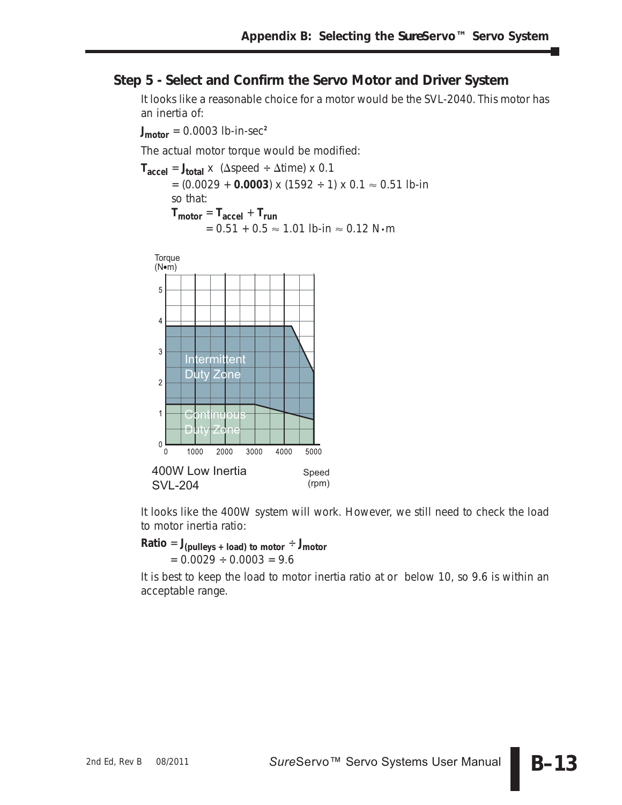### **Step 5 - Select and Confirm the Servo Motor and Driver System**

It looks like a reasonable choice for a motor would be the SVL-2040. This motor has an inertia of:

 $J_{\text{motor}} = 0.0003$  lb-in-sec<sup>2</sup>

The actual motor torque would be modified:

```
T_{\text{accel}} = J_{\text{total}} \times (\Delta \text{speed} \div \Delta \text{time}) \times 0.1= (0.0029 + 0.0003) \times (1592 \div 1) \times 0.1 \approx 0.51 lb-in
so that:
T_{\text{motor}} = T_{\text{accel}} + T_{\text{run}}= 0.51 + 0.5 \approx 1.01 lb-in \approx 0.12 N•m
```


It looks like the 400W system will work. However, we still need to check the load to motor inertia ratio:

 $Ratio = J_{(pulleys + load) \to 0}$  to motor  $\div J_{\text{motor}}$  $= 0.0029 \div 0.0003 = 9.6$ 

It is best to keep the load to motor inertia ratio at or below 10, so 9.6 is within an acceptable range.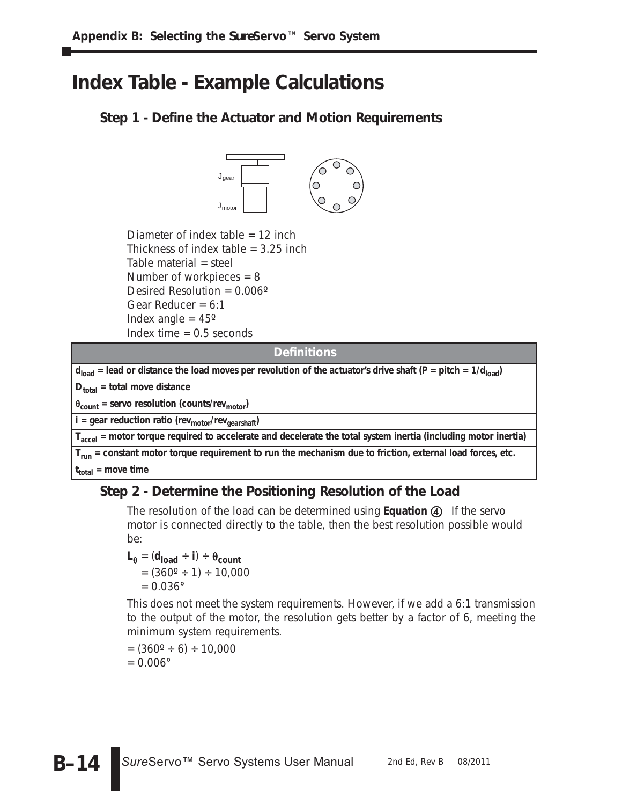# **Index Table - Example Calculations**

### **Step 1 - Define the Actuator and Motion Requirements**



Diameter of index table = 12 inch Thickness of index table  $=$  3.25 inch Table material = steel Number of workpieces = 8 Desired Resolution = 0.006º Gear Reducer =  $6:1$ Index angle  $= 45^\circ$ Index time  $= 0.5$  seconds

| <b>Definitions</b>                                                                                                           |
|------------------------------------------------------------------------------------------------------------------------------|
| $d_{load}$ = lead or distance the load moves per revolution of the actuator's drive shaft (P = pitch = 1/d <sub>load</sub> ) |
| $D_{total}$ = total move distance                                                                                            |
| $\theta_{\text{count}}$ = servo resolution (counts/rev <sub>motor</sub> )                                                    |
| $i =$ gear reduction ratio (rev <sub>motor</sub> /rev <sub>gearshaft</sub> )                                                 |
| $T_{\text{accel}}$ = motor torque required to accelerate and decelerate the total system inertia (including motor inertia)   |
| $T_{run}$ = constant motor torque requirement to run the mechanism due to friction, external load forces, etc.               |
| the contract of the contract of the contract of the contract of the contract of the contract of the contract of              |

#### **ttotal = move time**

### **Step 2 - Determine the Positioning Resolution of the Load**

The resolution of the load can be determined using **Equation 4** If the servo motor is connected directly to the table, then the best resolution possible would be:

$$
\mathsf{L}_{\theta} = (\mathsf{d}_{\mathsf{load}} \div \mathsf{i}) \div \theta_{\mathsf{count}}
$$
  
= (360° ÷ 1) ÷ 10,000  
= 0.036°

This does not meet the system requirements. However, if we add a 6:1 transmission to the output of the motor, the resolution gets better by a factor of 6, meeting the minimum system requirements.

 $= (360^{\circ} \div 6) \div 10,000$  $= 0.006$ °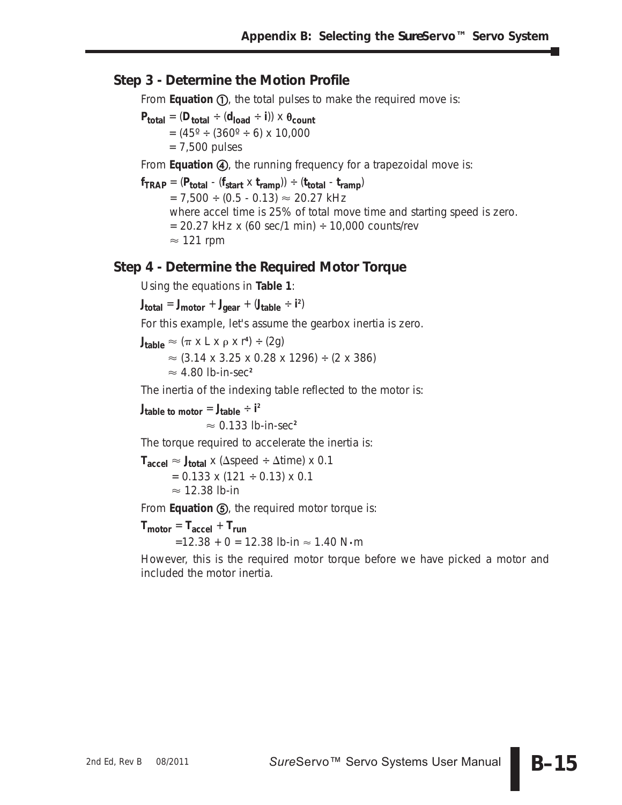### **Step 3 - Determine the Motion Profile**

From Equation (1), the total pulses to make the required move is:

 $P_{total} = (D_{total} \div (d_{load} \div i)) \times \theta_{count}$  $= (45^{\circ} \div (360^{\circ} \div 6) \times 10,000$ = 7,500 pulses

From **Equation (4)**, the running frequency for a trapezoidal move is:

 $f_{TRAP} = (P_{total} - (f_{start} \times t_{ramp})) \div (t_{total} - t_{ramp})$  $= 7,500 \div (0.5 - 0.13) \approx 20.27 \text{ kHz}$ where accel time is 25% of total move time and starting speed is zero.  $= 20.27$  kHz x (60 sec/1 min)  $\div$  10,000 counts/rev  $\approx$  121 rpm

#### **Step 4 - Determine the Required Motor Torque**

Using the equations in **Table 1**:

**Jtotal** = **Jmotor** + **Jgear** + (**Jtable** ÷ **i 2** )

For this example, let's assume the gearbox inertia is zero.

 $\mathsf{J}_{\mathsf{table}} \approx (\pi \times \mathsf{L} \times \rho \times \mathsf{r}^4) \div (2\mathsf{g})$ 

 $\approx$  (3.14 x 3.25 x 0.28 x 1296) ÷ (2 x 386)

 $\approx$  4.80 lb-in-sec<sup>2</sup>

The inertia of the indexing table reflected to the motor is:

 $J_{table}$  to motor  $= J_{table} \div i^2$ 

 $\approx$  0.133 lb-in-sec<sup>2</sup>

The torque required to accelerate the inertia is:

 $\mathsf{T_{accel}} \approx \mathsf{J_{total}} \times (\Delta \mathrm{speed} \div \Delta \mathrm{time}) \times 0.1$  $= 0.133 \times (121 \div 0.13) \times 0.1$  $\approx$  12.38 lb-in

From **Equation (5)**, the required motor torque is:

 $T_{\text{motor}} = T_{\text{accel}} + T_{\text{run}}$  $=$ 12.38 + 0 = 12.38 lb-in  $\approx$  1.40 N $\cdot$ m

However, this is the required motor torque before we have picked a motor and included the motor inertia.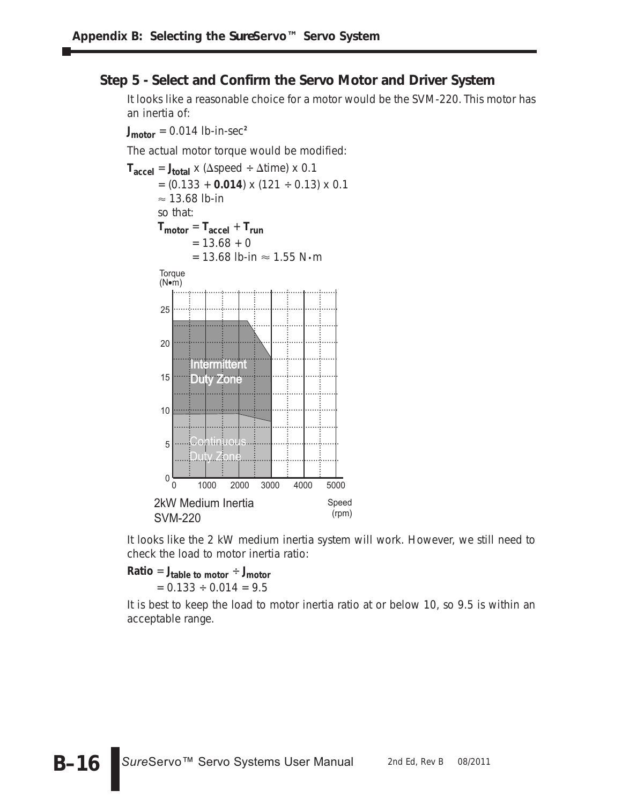### **Step 5 - Select and Confirm the Servo Motor and Driver System**

It looks like a reasonable choice for a motor would be the SVM-220. This motor has an inertia of:

 $J_{\text{motor}} = 0.014$  lb-in-sec<sup>2</sup>

The actual motor torque would be modified:



It looks like the 2 kW medium inertia system will work. However, we still need to check the load to motor inertia ratio:

 $Ratio = J_{table}$  to motor  $\div J_{motor}$  $= 0.133 \div 0.014 = 9.5$ 

It is best to keep the load to motor inertia ratio at or below 10, so 9.5 is within an acceptable range.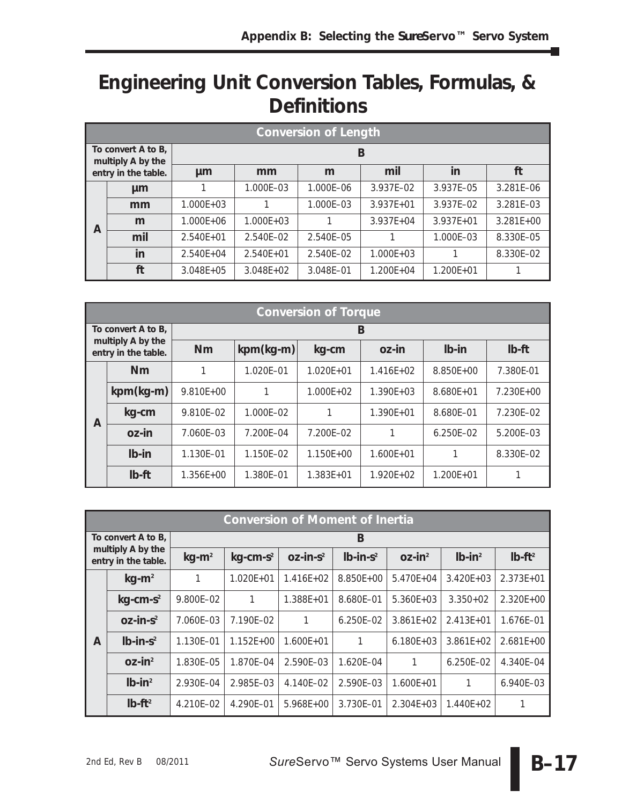# **Engineering Unit Conversion Tables, Formulas, & Definitions**

|                                         | <b>Conversion of Length</b> |               |               |           |               |               |               |  |
|-----------------------------------------|-----------------------------|---------------|---------------|-----------|---------------|---------------|---------------|--|
| To convert A to B,<br>multiply A by the |                             | B             |               |           |               |               |               |  |
|                                         | entry in the table.         | µm            | mm            | m         | mil           | in            | ft            |  |
|                                         | µm                          |               | 1.000E-03     | 1.000E-06 | 3.937E-02     | 3.937E-05     | 3.281E-06     |  |
| A                                       | mm                          | $1.000E + 03$ |               | 1.000E-03 | $3.937E + 01$ | 3.937E-02     | 3.281E-03     |  |
|                                         | m                           | $1.000E + 06$ | $1.000E + 03$ |           | $3.937E + 04$ | $3.937E + 01$ | $3.281E + 00$ |  |
|                                         | mil                         | $2.540E + 01$ | 2.540E-02     | 2.540E-05 |               | 1.000E-03     | 8.330E-05     |  |
|                                         | in                          | $2.540E + 04$ | $2.540E + 01$ | 2.540E-02 | $1.000E + 03$ |               | 8.330E-02     |  |
|                                         | ft                          | $3.048E + 05$ | $3.048E + 02$ | 3.048E-01 | $1.200E + 04$ | $1.200E + 01$ |               |  |

|                    | <b>Conversion of Torque</b>              |                                            |           |               |                |               |               |  |  |
|--------------------|------------------------------------------|--------------------------------------------|-----------|---------------|----------------|---------------|---------------|--|--|
| To convert A to B, |                                          | B                                          |           |               |                |               |               |  |  |
|                    | multiply A by the<br>entry in the table. | $kpm(kg-m)$<br><b>Nm</b><br>oz-in<br>kg-cm |           |               |                | $Ib-in$       | $Ib-ft$       |  |  |
|                    | Nm                                       |                                            | 1.020E-01 | $1.020E + 01$ | $1.416E + 02$  | $8.850E + 00$ | 7.380E-01     |  |  |
| A                  | $kpm(kg-m)$                              | $9.810E + 00$                              |           | $1.000F + 02$ | $1.390F + 0.3$ | $8.680E + 01$ | $7.230E + 00$ |  |  |
|                    | kg-cm                                    | 9.810E-02                                  | 1.000E-02 |               | $1.390E + 01$  | 8.680E-01     | 7.230E-02     |  |  |
|                    | oz-in                                    | 7.060E-03                                  | 7.200E-04 | 7.200E-02     |                | $6.250E - 02$ | 5.200E-03     |  |  |
|                    | $Ib-in$                                  | 1.130E-01                                  | 1.150E-02 | $1.150E + 00$ | $1.600E + 01$  |               | 8.330E-02     |  |  |
|                    | $Ib$ -ft                                 | $1.356E + 00$                              | 1.380E-01 | $1.383E + 01$ | $1.920E + 02$  | $1.200E + 01$ |               |  |  |

|                    | <b>Conversion of Moment of Inertia</b>   |           |                         |                 |               |                       |               |               |  |  |
|--------------------|------------------------------------------|-----------|-------------------------|-----------------|---------------|-----------------------|---------------|---------------|--|--|
| To convert A to B, |                                          |           | B                       |                 |               |                       |               |               |  |  |
|                    | multiply A by the<br>entry in the table. | $kg-m^2$  | $kg$ -cm-s <sup>2</sup> | $OZ$ -in- $S^2$ | $Ib-in-s2$    | $OZ$ -in <sup>2</sup> | $Ib-in^2$     | $Ib-ft^2$     |  |  |
|                    | $kg-m2$                                  |           | $1.020E + 01$           | $1.416E + 02$   | 8.850E+00     | $5.470E + 04$         | $3.420E + 03$ | $2.373E + 01$ |  |  |
| A                  | $kg$ -cm-s <sup>2</sup>                  | 9.800E-02 | 1                       | $1.388E + 01$   | 8.680E-01     | $5.360E + 03$         | $3.350+02$    | $2.320E + 00$ |  |  |
|                    | $OZ$ -in- $S^2$                          | 7.060E-03 | 7.190E-02               |                 | $6.250E - 02$ | $3.861E + 02$         | $2.413E + 01$ | 1.676E-01     |  |  |
|                    | $Ib-in-s^2$                              | 1.130E-01 | $1.152E + 00$           | $1.600E + 01$   | 1             | $6.180E + 03$         | $3.861E + 02$ | $2.681E+00$   |  |  |
|                    | $OZ$ -in <sup>2</sup>                    | 1.830E-05 | 1.870E-04               | 2.590E-03       | 1.620E-04     |                       | $6.250E - 02$ | 4.340E-04     |  |  |
|                    | $Ib-in^2$                                | 2.930E-04 | 2.985E-03               | 4.140E-02       | 2.590E-03     | $1.600E + 01$         | 1             | 6.940E-03     |  |  |
|                    | $Ib-ft^2$                                | 4.210E-02 | 4.290E-01               | $5.968E+00$     | 3.730E-01     | $2.304E + 03$         | $1.440E + 02$ |               |  |  |